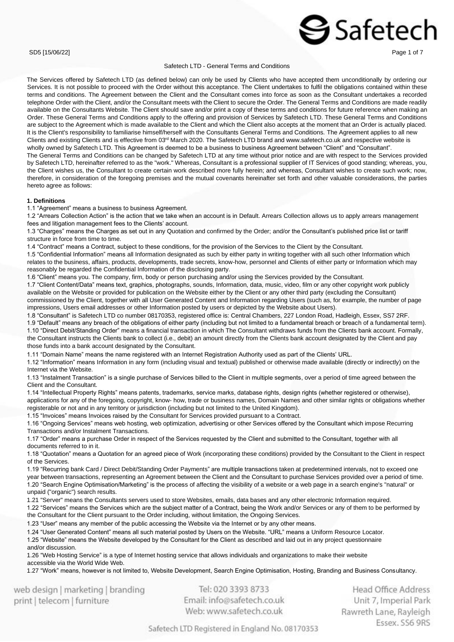### SD5 [15/06/22] Page 1 of 7

### Safetech LTD - General Terms and Conditions

The Services offered by Safetech LTD (as defined below) can only be used by Clients who have accepted them unconditionally by ordering our Services. It is not possible to proceed with the Order without this acceptance. The Client undertakes to fulfil the obligations contained within these terms and conditions. The Agreement between the Client and the Consultant comes into force as soon as the Consultant undertakes a recorded telephone Order with the Client, and/or the Consultant meets with the Client to secure the Order. The General Terms and Conditions are made readily available on the Consultants Website. The Client should save and/or print a copy of these terms and conditions for future reference when making an Order. These General Terms and Conditions apply to the offering and provision of Services by Safetech LTD. These General Terms and Conditions are subject to the Agreement which is made available to the Client and which the Client also accepts at the moment that an Order is actually placed. It is the Client's responsibility to familiarise himself/herself with the Consultants General Terms and Conditions. The Agreement applies to all new Clients and existing Clients and is effective from 03<sup>rd</sup> March 2020. The Safetech LTD brand and www.safetech.co.uk and respective website is wholly owned by Safetech LTD. This Agreement is deemed to be a business to business Agreement between "Client" and "Consultant". The General Terms and Conditions can be changed by Safetech LTD at any time without prior notice and are with respect to the Services provided by Safetech LTD, hereinafter referred to as the "work." Whereas, Consultant is a professional supplier of IT Services of good standing; whereas, you, the Client wishes us, the Consultant to create certain work described more fully herein; and whereas, Consultant wishes to create such work; now, therefore, in consideration of the foregoing premises and the mutual covenants hereinafter set forth and other valuable considerations, the parties hereto agree as follows:

### **1. Definitions**

1.1 "Agreement" means a business to business Agreement.

1.2 "Arrears Collection Action" is the action that we take when an account is in Default. Arrears Collection allows us to apply arrears management fees and litigation management fees to the Clients' account.

1.3 "Charges" means the Charges as set out in any Quotation and confirmed by the Order; and/or the Consultant's published price list or tariff structure in force from time to time.

1.4 "Contract" means a Contract, subject to these conditions, for the provision of the Services to the Client by the Consultant.

1.5 "Confidential Information" means all Information designated as such by either party in writing together with all such other Information which relates to the business, affairs, products, developments, trade secrets, know-how, personnel and Clients of either party or Information which may reasonably be regarded the Confidential Information of the disclosing party.

1.6 "Client" means you. The company, firm, body or person purchasing and/or using the Services provided by the Consultant.

1.7 "Client Content/Data" means text, graphics, photographs, sounds, Information, data, music, video, film or any other copyright work publicly available on the Website or provided for publication on the Website either by the Client or any other third party (excluding the Consultant) commissioned by the Client, together with all User Generated Content and Information regarding Users (such as, for example, the number of page impressions, Users email addresses or other Information posted by users or depicted by the Website about Users).

1.8 "Consultant" is Safetech LTD co number 08170353, registered office is: Central Chambers, 227 London Road, Hadleigh, Essex, SS7 2RF. 1.9 "Default" means any breach of the obligations of either party (including but not limited to a fundamental breach or breach of a fundamental term). 1.10 "Direct Debit/Standing Order" means a financial transaction in which The Consultant withdraws funds from the Clients bank account. Formally, the Consultant instructs the Clients bank to collect (i.e., debit) an amount directly from the Clients bank account designated by the Client and pay those funds into a bank account designated by the Consultant.

1.11 "Domain Name" means the name registered with an Internet Registration Authority used as part of the Clients' URL.

1.12 "Information" means Information in any form (including visual and textual) published or otherwise made available (directly or indirectly) on the Internet via the Website.

1.13 "Instalment Transaction" is a single purchase of Services billed to the Client in multiple segments, over a period of time agreed between the Client and the Consultant.

1.14 "Intellectual Property Rights" means patents, trademarks, service marks, database rights, design rights (whether registered or otherwise), applications for any of the foregoing, copyright, know- how, trade or business names, Domain Names and other similar rights or obligations whether registerable or not and in any territory or jurisdiction (including but not limited to the United Kingdom).

1.15 "Invoices" means Invoices raised by the Consultant for Services provided pursuant to a Contract.

1.16 "Ongoing Services" means web hosting, web optimization, advertising or other Services offered by the Consultant which impose Recurring Transactions and/or Instalment Transactions.

1.17 "Order" means a purchase Order in respect of the Services requested by the Client and submitted to the Consultant, together with all documents referred to in it.

1.18 "Quotation" means a Quotation for an agreed piece of Work (incorporating these conditions) provided by the Consultant to the Client in respect of the Services.

1.19 "Recurring bank Card / Direct Debit/Standing Order Payments" are multiple transactions taken at predetermined intervals, not to exceed one year between transactions, representing an Agreement between the Client and the Consultant to purchase Services provided over a period of time. 1.20 "Search Engine Optimisation/Marketing" is the process of affecting the visibility of a website or a web page in a search engine's "natural" or unpaid ("organic") search results.

1.21 "Server" means the Consultants servers used to store Websites, emails, data bases and any other electronic Information required.

1.22 "Services" means the Services which are the subject matter of a Contract, being the Work and/or Services or any of them to be performed by the Consultant for the Client pursuant to the Order including, without limitation, the Ongoing Services.

1.23 "User" means any member of the public accessing the Website via the Internet or by any other means.

1.24 "User Generated Content" means all such material posted by Users on the Website. "URL" means a Uniform Resource Locator.

1.25 "Website" means the Website developed by the Consultant for the Client as described and laid out in any project questionnaire

and/or discussion.

1.26 "Web Hosting Service" is a type of Internet hosting service that allows individuals and organizations to make their website accessible via the World Wide Web.

1.27 "Work" means, however is not limited to, Website Development, Search Engine Optimisation, Hosting, Branding and Business Consultancy.

web design | marketing | branding print | telecom | furniture

Tel: 020 3393 8733 Email: info@safetech.co.uk Web: www.safetech.co.uk

**Head Office Address** Unit 7, Imperial Park Rawreth Lane, Rayleigh Essex, SS6 9RS

 $\mathbf{\Im}$  Safetech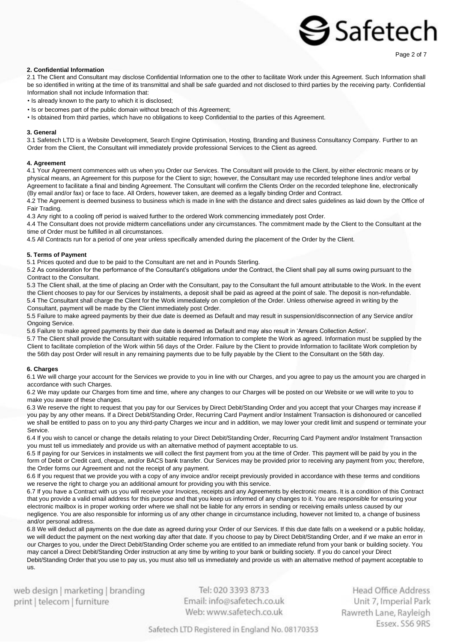Page 2 of 7

### **2. Confidential Information**

2.1 The Client and Consultant may disclose Confidential Information one to the other to facilitate Work under this Agreement. Such Information shall be so identified in writing at the time of its transmittal and shall be safe guarded and not disclosed to third parties by the receiving party. Confidential Information shall not include Information that:

• Is already known to the party to which it is disclosed;

- Is or becomes part of the public domain without breach of this Agreement;
- Is obtained from third parties, which have no obligations to keep Confidential to the parties of this Agreement.

### **3. General**

3.1 Safetech LTD is a Website Development, Search Engine Optimisation, Hosting, Branding and Business Consultancy Company. Further to an Order from the Client, the Consultant will immediately provide professional Services to the Client as agreed.

### **4. Agreement**

4.1 Your Agreement commences with us when you Order our Services. The Consultant will provide to the Client, by either electronic means or by physical means, an Agreement for this purpose for the Client to sign; however, the Consultant may use recorded telephone lines and/or verbal Agreement to facilitate a final and binding Agreement. The Consultant will confirm the Clients Order on the recorded telephone line, electronically (By email and/or fax) or face to face. All Orders, however taken, are deemed as a legally binding Order and Contract.

4.2 The Agreement is deemed business to business which is made in line with the distance and direct sales guidelines as laid down by the Office of Fair Trading.

4.3 Any right to a cooling off period is waived further to the ordered Work commencing immediately post Order.

4.4 The Consultant does not provide midterm cancellations under any circumstances. The commitment made by the Client to the Consultant at the time of Order must be fulfilled in all circumstances.

4.5 All Contracts run for a period of one year unless specifically amended during the placement of the Order by the Client.

### **5. Terms of Payment**

5.1 Prices quoted and due to be paid to the Consultant are net and in Pounds Sterling.

5.2 As consideration for the performance of the Consultant's obligations under the Contract, the Client shall pay all sums owing pursuant to the Contract to the Consultant.

5.3 The Client shall, at the time of placing an Order with the Consultant, pay to the Consultant the full amount attributable to the Work. In the event the Client chooses to pay for our Services by instalments, a deposit shall be paid as agreed at the point of sale. The deposit is non-refundable. 5.4 The Consultant shall charge the Client for the Work immediately on completion of the Order. Unless otherwise agreed in writing by the Consultant, payment will be made by the Client immediately post Order.

5.5 Failure to make agreed payments by their due date is deemed as Default and may result in suspension/disconnection of any Service and/or Ongoing Service.

5.6 Failure to make agreed payments by their due date is deemed as Default and may also result in 'Arrears Collection Action'.

5.7 The Client shall provide the Consultant with suitable required Information to complete the Work as agreed. Information must be supplied by the Client to facilitate completion of the Work within 56 days of the Order. Failure by the Client to provide Information to facilitate Work completion by the 56th day post Order will result in any remaining payments due to be fully payable by the Client to the Consultant on the 56th day.

### **6. Charges**

6.1 We will charge your account for the Services we provide to you in line with our Charges, and you agree to pay us the amount you are charged in accordance with such Charges.

6.2 We may update our Charges from time and time, where any changes to our Charges will be posted on our Website or we will write to you to make you aware of these changes.

6.3 We reserve the right to request that you pay for our Services by Direct Debit/Standing Order and you accept that your Charges may increase if you pay by any other means. If a Direct Debit/Standing Order, Recurring Card Payment and/or Instalment Transaction is dishonoured or cancelled we shall be entitled to pass on to you any third-party Charges we incur and in addition, we may lower your credit limit and suspend or terminate your Service.

6.4 If you wish to cancel or change the details relating to your Direct Debit/Standing Order, Recurring Card Payment and/or Instalment Transaction you must tell us immediately and provide us with an alternative method of payment acceptable to us.

6.5 If paying for our Services in instalments we will collect the first payment from you at the time of Order. This payment will be paid by you in the form of Debit or Credit card, cheque, and/or BACS bank transfer. Our Services may be provided prior to receiving any payment from you; therefore, the Order forms our Agreement and not the receipt of any payment.

6.6 If you request that we provide you with a copy of any invoice and/or receipt previously provided in accordance with these terms and conditions we reserve the right to charge you an additional amount for providing you with this service.

6.7 If you have a Contract with us you will receive your Invoices, receipts and any Agreements by electronic means. It is a condition of this Contract that you provide a valid email address for this purpose and that you keep us informed of any changes to it. You are responsible for ensuring your electronic mailbox is in proper working order where we shall not be liable for any errors in sending or receiving emails unless caused by our negligence. You are also responsible for informing us of any other change in circumstance including, however not limited to, a change of business and/or personal address.

6.8 We will deduct all payments on the due date as agreed during your Order of our Services. If this due date falls on a weekend or a public holiday, we will deduct the payment on the next working day after that date. If you choose to pay by Direct Debit/Standing Order, and if we make an error in our Charges to you, under the Direct Debit/Standing Order scheme you are entitled to an immediate refund from your bank or building society. You may cancel a Direct Debit/Standing Order instruction at any time by writing to your bank or building society. If you do cancel your Direct Debit/Standing Order that you use to pay us, you must also tell us immediately and provide us with an alternative method of payment acceptable to us.

web design | marketing | branding print | telecom | furniture

Tel: 020 3393 8733 Email: info@safetech.co.uk Web: www.safetech.co.uk

Head Office Address Unit 7, Imperial Park Rawreth Lane, Rayleigh Essex, SS6 9RS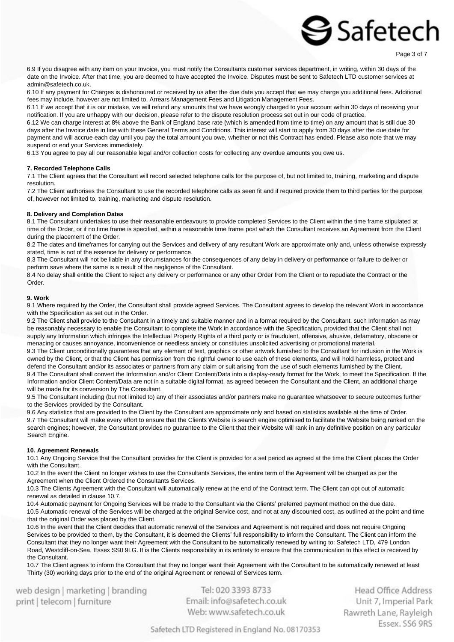6.9 If you disagree with any item on your Invoice, you must notify the Consultants customer services department, in writing, within 30 days of the date on the Invoice. After that time, you are deemed to have accepted the Invoice. Disputes must be sent to Safetech LTD customer services at admin@safetech.co.uk.

6.10 If any payment for Charges is dishonoured or received by us after the due date you accept that we may charge you additional fees. Additional fees may include, however are not limited to, Arrears Management Fees and Litigation Management Fees.

6.11 If we accept that it is our mistake, we will refund any amounts that we have wrongly charged to your account within 30 days of receiving your notification. If you are unhappy with our decision, please refer to the dispute resolution process set out in our code of practice.

6.12 We can charge interest at 8% above the Bank of England base rate (which is amended from time to time) on any amount that is still due 30 days after the Invoice date in line with these General Terms and Conditions. This interest will start to apply from 30 days after the due date for payment and will accrue each day until you pay the total amount you owe, whether or not this Contract has ended. Please also note that we may suspend or end your Services immediately.

6.13 You agree to pay all our reasonable legal and/or collection costs for collecting any overdue amounts you owe us.

### **7. Recorded Telephone Calls**

7.1 The Client agrees that the Consultant will record selected telephone calls for the purpose of, but not limited to, training, marketing and dispute resolution.

7.2 The Client authorises the Consultant to use the recorded telephone calls as seen fit and if required provide them to third parties for the purpose of, however not limited to, training, marketing and dispute resolution.

### **8. Delivery and Completion Dates**

8.1 The Consultant undertakes to use their reasonable endeavours to provide completed Services to the Client within the time frame stipulated at time of the Order, or if no time frame is specified, within a reasonable time frame post which the Consultant receives an Agreement from the Client during the placement of the Order.

8.2 The dates and timeframes for carrying out the Services and delivery of any resultant Work are approximate only and, unless otherwise expressly stated, time is not of the essence for delivery or performance.

8.3 The Consultant will not be liable in any circumstances for the consequences of any delay in delivery or performance or failure to deliver or perform save where the same is a result of the negligence of the Consultant.

8.4 No delay shall entitle the Client to reject any delivery or performance or any other Order from the Client or to repudiate the Contract or the Order.

### **9. Work**

9.1 Where required by the Order, the Consultant shall provide agreed Services. The Consultant agrees to develop the relevant Work in accordance with the Specification as set out in the Order.

9.2 The Client shall provide to the Consultant in a timely and suitable manner and in a format required by the Consultant, such Information as may be reasonably necessary to enable the Consultant to complete the Work in accordance with the Specification, provided that the Client shall not supply any Information which infringes the Intellectual Property Rights of a third party or is fraudulent, offensive, abusive, defamatory, obscene or menacing or causes annoyance, inconvenience or needless anxiety or constitutes unsolicited advertising or promotional material. 9.3 The Client unconditionally guarantees that any element of text, graphics or other artwork furnished to the Consultant for inclusion in the Work is owned by the Client, or that the Client has permission from the rightful owner to use each of these elements, and will hold harmless, protect and defend the Consultant and/or its associates or partners from any claim or suit arising from the use of such elements furnished by the Client. 9.4 The Consultant shall convert the Information and/or Client Content/Data into a display-ready format for the Work, to meet the Specification. If the Information and/or Client Content/Data are not in a suitable digital format, as agreed between the Consultant and the Client, an additional charge will be made for its conversion by The Consultant.

9.5 The Consultant including (but not limited to) any of their associates and/or partners make no guarantee whatsoever to secure outcomes further to the Services provided by the Consultant.

9.6 Any statistics that are provided to the Client by the Consultant are approximate only and based on statistics available at the time of Order. 9.7 The Consultant will make every effort to ensure that the Clients Website is search engine optimised to facilitate the Website being ranked on the search engines; however, the Consultant provides no guarantee to the Client that their Website will rank in any definitive position on any particular Search Engine.

### **10. Agreement Renewals**

10.1 Any Ongoing Service that the Consultant provides for the Client is provided for a set period as agreed at the time the Client places the Order with the Consultant.

10.2 In the event the Client no longer wishes to use the Consultants Services, the entire term of the Agreement will be charged as per the Agreement when the Client Ordered the Consultants Services.

10.3 The Clients Agreement with the Consultant will automatically renew at the end of the Contract term. The Client can opt out of automatic renewal as detailed in clause 10.7.

10.4 Automatic payment for Ongoing Services will be made to the Consultant via the Clients' preferred payment method on the due date. 10.5 Automatic renewal of the Services will be charged at the original Service cost, and not at any discounted cost, as outlined at the point and time that the original Order was placed by the Client.

10.6 In the event that the Client decides that automatic renewal of the Services and Agreement is not required and does not require Ongoing Services to be provided to them, by the Consultant, it is deemed the Clients' full responsibility to inform the Consultant. The Client can inform the Consultant that they no longer want their Agreement with the Consultant to be automatically renewed by writing to: Safetech LTD, 479 London Road, Westcliff-on-Sea, Essex SS0 9LG. It is the Clients responsibility in its entirety to ensure that the communication to this effect is received by the Consultant.

10.7 The Client agrees to inform the Consultant that they no longer want their Agreement with the Consultant to be automatically renewed at least Thirty (30) working days prior to the end of the original Agreement or renewal of Services term.

web design | marketing | branding print | telecom | furniture

Tel: 020 3393 8733 Email: info@safetech.co.uk Web: www.safetech.co.uk

Head Office Address Unit 7, Imperial Park Rawreth Lane, Rayleigh Essex, SS6 9RS

Page 3 of 7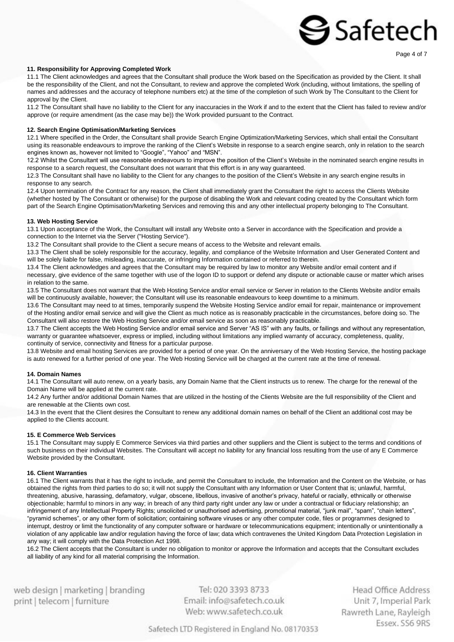### **11. Responsibility for Approving Completed Work**

11.1 The Client acknowledges and agrees that the Consultant shall produce the Work based on the Specification as provided by the Client. It shall be the responsibility of the Client, and not the Consultant, to review and approve the completed Work (including, without limitations, the spelling of names and addresses and the accuracy of telephone numbers etc) at the time of the completion of such Work by The Consultant to the Client for approval by the Client.

11.2 The Consultant shall have no liability to the Client for any inaccuracies in the Work if and to the extent that the Client has failed to review and/or approve (or require amendment (as the case may be)) the Work provided pursuant to the Contract.

### **12. Search Engine Optimisation/Marketing Services**

12.1 Where specified in the Order, the Consultant shall provide Search Engine Optimization/Marketing Services, which shall entail the Consultant using its reasonable endeavours to improve the ranking of the Client's Website in response to a search engine search, only in relation to the search engines known as, however not limited to "Google", "Yahoo" and "MSN".

12.2 Whilst the Consultant will use reasonable endeavours to improve the position of the Client's Website in the nominated search engine results in response to a search request, the Consultant does not warrant that this effort is in any way guaranteed.

12.3 The Consultant shall have no liability to the Client for any changes to the position of the Client's Website in any search engine results in response to any search.

12.4 Upon termination of the Contract for any reason, the Client shall immediately grant the Consultant the right to access the Clients Website (whether hosted by The Consultant or otherwise) for the purpose of disabling the Work and relevant coding created by the Consultant which form part of the Search Engine Optimisation/Marketing Services and removing this and any other intellectual property belonging to The Consultant.

### **13. Web Hosting Service**

13.1 Upon acceptance of the Work, the Consultant will install any Website onto a Server in accordance with the Specification and provide a connection to the Internet via the Server ("Hosting Service").

13.2 The Consultant shall provide to the Client a secure means of access to the Website and relevant emails.

13.3 The Client shall be solely responsible for the accuracy, legality, and compliance of the Website Information and User Generated Content and will be solely liable for false, misleading, inaccurate, or infringing Information contained or referred to therein.

13.4 The Client acknowledges and agrees that the Consultant may be required by law to monitor any Website and/or email content and if necessary, give evidence of the same together with use of the logon ID to support or defend any dispute or actionable cause or matter which arises

in relation to the same.

13.5 The Consultant does not warrant that the Web Hosting Service and/or email service or Server in relation to the Clients Website and/or emails will be continuously available, however; the Consultant will use its reasonable endeavours to keep downtime to a minimum.

13.6 The Consultant may need to at times, temporarily suspend the Website Hosting Service and/or email for repair, maintenance or improvement of the Hosting and/or email service and will give the Client as much notice as is reasonably practicable in the circumstances, before doing so. The Consultant will also restore the Web Hosting Service and/or email service as soon as reasonably practicable.

13.7 The Client accepts the Web Hosting Service and/or email service and Server "AS IS" with any faults, or failings and without any representation, warranty or guarantee whatsoever, express or implied, including without limitations any implied warranty of accuracy, completeness, quality, continuity of service, connectivity and fitness for a particular purpose.

13.8 Website and email hosting Services are provided for a period of one year. On the anniversary of the Web Hosting Service, the hosting package is auto renewed for a further period of one year. The Web Hosting Service will be charged at the current rate at the time of renewal.

### **14. Domain Names**

14.1 The Consultant will auto renew, on a yearly basis, any Domain Name that the Client instructs us to renew. The charge for the renewal of the Domain Name will be applied at the current rate.

14.2 Any further and/or additional Domain Names that are utilized in the hosting of the Clients Website are the full responsibility of the Client and are renewable at the Clients own cost.

14.3 In the event that the Client desires the Consultant to renew any additional domain names on behalf of the Client an additional cost may be applied to the Clients account.

### **15. E Commerce Web Services**

15.1 The Consultant may supply E Commerce Services via third parties and other suppliers and the Client is subject to the terms and conditions of such business on their individual Websites. The Consultant will accept no liability for any financial loss resulting from the use of any E Commerce Website provided by the Consultant.

### **16. Client Warranties**

16.1 The Client warrants that it has the right to include, and permit the Consultant to include, the Information and the Content on the Website, or has obtained the rights from third parties to do so; it will not supply the Consultant with any Information or User Content that is; unlawful, harmful, threatening, abusive, harassing, defamatory, vulgar, obscene, libellous, invasive of another's privacy, hateful or racially, ethnically or otherwise objectionable; harmful to minors in any way; in breach of any third party right under any law or under a contractual or fiduciary relationship; an infringement of any Intellectual Property Rights; unsolicited or unauthorised advertising, promotional material, "junk mail", "spam", "chain letters", "pyramid schemes", or any other form of solicitation; containing software viruses or any other computer code, files or programmes designed to interrupt, destroy or limit the functionality of any computer software or hardware or telecommunications equipment; intentionally or unintentionally a violation of any applicable law and/or regulation having the force of law; data which contravenes the United Kingdom Data Protection Legislation in any way; it will comply with the Data Protection Act 1998.

16.2 The Client accepts that the Consultant is under no obligation to monitor or approve the Information and accepts that the Consultant excludes all liability of any kind for all material comprising the Information.

web design | marketing | branding print | telecom | furniture

Tel: 020 3393 8733 Email: info@safetech.co.uk Web: www.safetech.co.uk

**Head Office Address** Unit 7, Imperial Park Rawreth Lane, Rayleigh Essex, SS6 9RS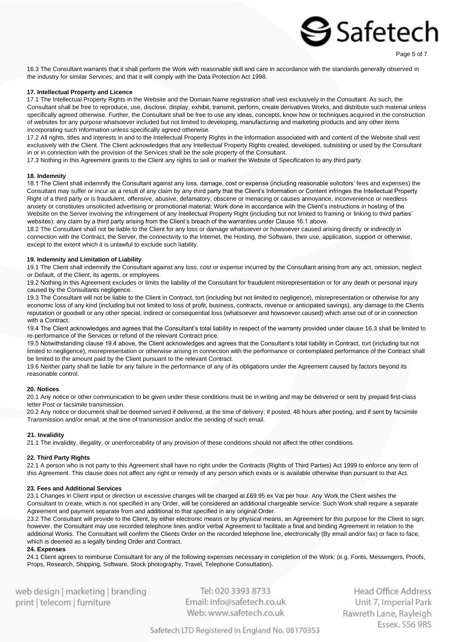16.3 The Consultant warrants that it shall perform the Work with reasonable skill and care in accordance with the standards generally observed in the industry for similar Services; and that it will comply with the Data Protection Act 1998.

### **17. Intellectual Property and Licence**

17.1 The Intellectual Property Rights in the Website and the Domain Name registration shall vest exclusively in the Consultant. As such, the Consultant shall be free to reproduce, use, disclose, display, exhibit, transmit, perform, create derivatives Works, and distribute such material unless specifically agreed otherwise. Further, the Consultant shall be free to use any ideas, concepts, know how or techniques acquired in the construction of websites for any purpose whatsoever included but not limited to developing, manufacturing and marketing products and any other items incorporating such Information unless specifically agreed otherwise.

17.2 All rights, titles and interests in and to the Intellectual Property Rights in the Information associated with and content of the Website shall vest exclusively with the Client. The Client acknowledges that any Intellectual Property Rights created, developed, subsisting or used by the Consultant in or in connection with the provision of the Services shall be the sole property of the Consultant.

17.3 Nothing in this Agreement grants to the Client any rights to sell or market the Website of Specification to any third party.

### **18. Indemnity**

18.1 The Client shall indemnify the Consultant against any loss, damage, cost or expense (including reasonable solicitors' fees and expenses) the Consultant may suffer or incur as a result of any claim by any third party that the Client's Information or Content infringes the Intellectual Property Right of a third party or is fraudulent, offensive, abusive, defamatory, obscene or menacing or causes annoyance, inconvenience or needless anxiety or constitutes unsolicited advertising or promotional material; Work done in accordance with the Client's instructions in hosting of the Website on the Server involving the infringement of any Intellectual Property Right (including but not limited to framing or linking to third parties' websites): any claim by a third party arising from the Client's breach of the warranties under Clause 16.1 above.

18.2 The Consultant shall not be liable to the Client for any loss or damage whatsoever or howsoever caused arising directly or indirectly in connection with the Contract, the Server, the connectivity to the Internet, the Hosting, the Software, their use, application, support or otherwise, except to the extent which it is unlawful to exclude such liability.

### **19. Indemnity and Limitation of Liability**

19.1 The Client shall indemnify the Consultant against any loss, cost or expense incurred by the Consultant arising from any act, omission, neglect or Default, of the Client, its agents, or employees.

19.2 Nothing in this Agreement excludes or limits the liability of the Consultant for fraudulent misrepresentation or for any death or personal injury caused by the Consultants negligence.

19.3 The Consultant will not be liable to the Client in Contract, tort (including but not limited to negligence), misrepresentation or otherwise for any economic loss of any kind (including but not limited to loss of profit, business, contracts, revenue or anticipated savings), any damage to the Clients reputation or goodwill or any other special, indirect or consequential loss (whatsoever and howsoever caused) which arise out of or in connection with a Contract.

19.4 The Client acknowledges and agrees that the Consultant's total liability in respect of the warranty provided under clause 16.3 shall be limited to re-performance of the Services or refund of the relevant Contract price.

19.5 Notwithstanding clause 19.4 above, the Client acknowledges and agrees that the Consultant's total liability in Contract, tort (including but not limited to negligence), misrepresentation or otherwise arising in connection with the performance or contemplated performance of the Contract shall be limited to the amount paid by the Client pursuant to the relevant Contract.

19.6 Neither party shall be liable for any failure in the performance of any of its obligations under the Agreement caused by factors beyond its reasonable control.

### **20. Notices**

20.1 Any notice or other communication to be given under these conditions must be in writing and may be delivered or sent by prepaid first-class letter Post or facsimile transmission.

20.2 Any notice or document shall be deemed served if delivered, at the time of delivery; if posted, 48 hours after posting, and if sent by facsimile Transmission and/or email, at the time of transmission and/or the sending of such email.

### **21. Invalidity**

21.1 The invalidity, illegality, or unenforceability of any provision of these conditions should not affect the other conditions.

### **22. Third Party Rights**

22.1 A person who is not party to this Agreement shall have no right under the Contracts (Rights of Third Parties) Act 1999 to enforce any term of this Agreement. This clause does not affect any right or remedy of any person which exists or is available otherwise than pursuant to that Act.

### **23. Fees and Additional Services**

23.1 Changes in Client input or direction or excessive changes will be charged at £69.95 ex Vat per hour. Any Work the Client wishes the Consultant to create, which is not specified in any Order, will be considered an additional chargeable service. Such Work shall require a separate Agreement and payment separate from and additional to that specified in any original Order.

23.2 The Consultant will provide to the Client, by either electronic means or by physical means, an Agreement for this purpose for the Client to sign; however, the Consultant may use recorded telephone lines and/or verbal Agreement to facilitate a final and binding Agreement in relation to the additional Works. The Consultant will confirm the Clients Order on the recorded telephone line, electronically (By email and/or fax) or face to face, which is deemed as a legally binding Order and Contract.

### **24. Expenses**

24.1 Client agrees to reimburse Consultant for any of the following expenses necessary in completion of the Work: (e.g. Fonts, Messengers, Proofs, Props, Research, Shipping, Software, Stock photography, Travel, Telephone Consultation).

web design | marketing | branding print | telecom | furniture

Tel: 020 3393 8733 Email: info@safetech.co.uk Web: www.safetech.co.uk

**Head Office Address** Unit 7, Imperial Park Rawreth Lane, Rayleigh Essex, SS6 9RS

Page 5 of 7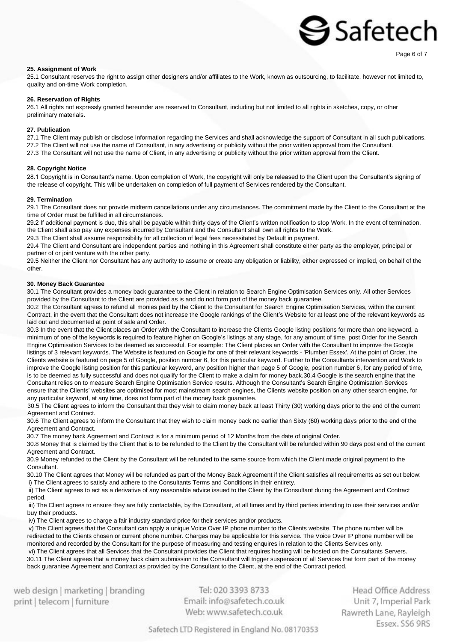### **25. Assignment of Work**

25.1 Consultant reserves the right to assign other designers and/or affiliates to the Work, known as outsourcing, to facilitate, however not limited to, quality and on-time Work completion.

### **26. Reservation of Rights**

26.1 All rights not expressly granted hereunder are reserved to Consultant, including but not limited to all rights in sketches, copy, or other preliminary materials.

### **27. Publication**

27.1 The Client may publish or disclose Information regarding the Services and shall acknowledge the support of Consultant in all such publications. 27.2 The Client will not use the name of Consultant, in any advertising or publicity without the prior written approval from the Consultant. 27.3 The Consultant will not use the name of Client, in any advertising or publicity without the prior written approval from the Client.

### **28. Copyright Notice**

28.1 Copyright is in Consultant's name. Upon completion of Work, the copyright will only be released to the Client upon the Consultant's signing of the release of copyright. This will be undertaken on completion of full payment of Services rendered by the Consultant.

### **29. Termination**

29.1 The Consultant does not provide midterm cancellations under any circumstances. The commitment made by the Client to the Consultant at the time of Order must be fulfilled in all circumstances.

29.2 If additional payment is due, this shall be payable within thirty days of the Client's written notification to stop Work. In the event of termination, the Client shall also pay any expenses incurred by Consultant and the Consultant shall own all rights to the Work.

29.3 The Client shall assume responsibility for all collection of legal fees necessitated by Default in payment.

29.4 The Client and Consultant are independent parties and nothing in this Agreement shall constitute either party as the employer, principal or partner of or joint venture with the other party.

29.5 Neither the Client nor Consultant has any authority to assume or create any obligation or liability, either expressed or implied, on behalf of the other.

### **30. Money Back Guarantee**

30.1 The Consultant provides a money back guarantee to the Client in relation to Search Engine Optimisation Services only. All other Services provided by the Consultant to the Client are provided as is and do not form part of the money back guarantee.

30.2 The Consultant agrees to refund all monies paid by the Client to the Consultant for Search Engine Optimisation Services, within the current Contract, in the event that the Consultant does not increase the Google rankings of the Client's Website for at least one of the relevant keywords as laid out and documented at point of sale and Order.

30.3 In the event that the Client places an Order with the Consultant to increase the Clients Google listing positions for more than one keyword, a minimum of one of the keywords is required to feature higher on Google's listings at any stage, for any amount of time, post Order for the Search Engine Optimisation Services to be deemed as successful. For example: The Client places an Order with the Consultant to improve the Google listings of 3 relevant keywords. The Website is featured on Google for one of their relevant keywords - 'Plumber Essex'. At the point of Order, the Clients website is featured on page 5 of Google, position number 6, for this particular keyword. Further to the Consultants intervention and Work to improve the Google listing position for this particular keyword, any position higher than page 5 of Google, position number 6, for any period of time, is to be deemed as fully successful and does not qualify for the Client to make a claim for money back.30.4 Google is the search engine that the Consultant relies on to measure Search Engine Optimisation Service results. Although the Consultant's Search Engine Optimisation Services ensure that the Clients' websites are optimised for most mainstream search engines, the Clients website position on any other search engine, for any particular keyword, at any time, does not form part of the money back guarantee.

30.5 The Client agrees to inform the Consultant that they wish to claim money back at least Thirty (30) working days prior to the end of the current Agreement and Contract.

30.6 The Client agrees to inform the Consultant that they wish to claim money back no earlier than Sixty (60) working days prior to the end of the Agreement and Contract.

30.7 The money back Agreement and Contract is for a minimum period of 12 Months from the date of original Order.

30.8 Money that is claimed by the Client that is to be refunded to the Client by the Consultant will be refunded within 90 days post end of the current Agreement and Contract.

30.9 Money refunded to the Client by the Consultant will be refunded to the same source from which the Client made original payment to the Consultant.

30.10 The Client agrees that Money will be refunded as part of the Money Back Agreement if the Client satisfies all requirements as set out below: i) The Client agrees to satisfy and adhere to the Consultants Terms and Conditions in their entirety.

ii) The Client agrees to act as a derivative of any reasonable advice issued to the Client by the Consultant during the Agreement and Contract period.

iii) The Client agrees to ensure they are fully contactable, by the Consultant, at all times and by third parties intending to use their services and/or buy their products.

iv) The Client agrees to charge a fair industry standard price for their services and/or products.

v) The Client agrees that the Consultant can apply a unique Voice Over IP phone number to the Clients website. The phone number will be redirected to the Clients chosen or current phone number. Charges may be applicable for this service. The Voice Over IP phone number will be monitored and recorded by the Consultant for the purpose of measuring and testing enquires in relation to the Clients Services only.

vi) The Client agrees that all Services that the Consultant provides the Client that requires hosting will be hosted on the Consultants Servers. 30.11 The Client agrees that a money back claim submission to the Consultant will trigger suspension of all Services that form part of the money back guarantee Agreement and Contract as provided by the Consultant to the Client, at the end of the Contract period.

web design | marketing | branding print | telecom | furniture

Tel: 020 3393 8733 Email: info@safetech.co.uk Web: www.safetech.co.uk

Head Office Address Unit 7, Imperial Park Rawreth Lane, Rayleigh Essex, SS6 9RS